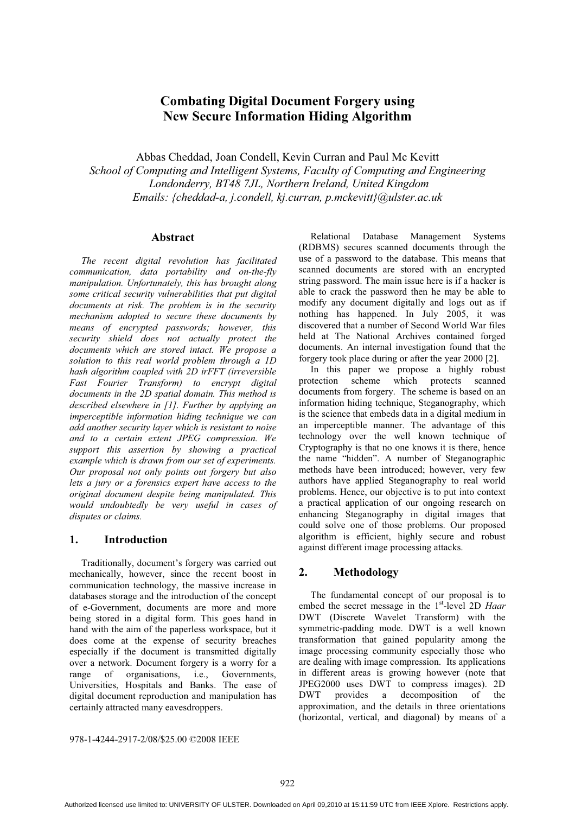# **Combating Digital Document Forgery using New Secure Information Hiding Algorithm**

Abbas Cheddad, Joan Condell, Kevin Curran and Paul Mc Kevitt

*School of Computing and Intelligent Systems, Faculty of Computing and Engineering Londonderry, BT48 7JL, Northern Ireland, United Kingdom Emails: {cheddad-a, j.condell, kj.curran, p.mckevitt}@ulster.ac.uk* 

## **Abstract**

*The recent digital revolution has facilitated communication, data portability and on-the-fly manipulation. Unfortunately, this has brought along some critical security vulnerabilities that put digital documents at risk. The problem is in the security mechanism adopted to secure these documents by means of encrypted passwords; however, this security shield does not actually protect the documents which are stored intact. We propose a solution to this real world problem through a 1D hash algorithm coupled with 2D irFFT (irreversible Fast Fourier Transform) to encrypt digital documents in the 2D spatial domain. This method is described elsewhere in [1]. Further by applying an imperceptible information hiding technique we can add another security layer which is resistant to noise and to a certain extent JPEG compression. We support this assertion by showing a practical example which is drawn from our set of experiments. Our proposal not only points out forgery but also lets a jury or a forensics expert have access to the original document despite being manipulated. This would undoubtedly be very useful in cases of disputes or claims.* 

#### **1. Introduction**

Traditionally, document's forgery was carried out mechanically, however, since the recent boost in communication technology, the massive increase in databases storage and the introduction of the concept of e-Government, documents are more and more being stored in a digital form. This goes hand in hand with the aim of the paperless workspace, but it does come at the expense of security breaches especially if the document is transmitted digitally over a network. Document forgery is a worry for a<br>range of organisations. i.e.. Governments. i.e., Governments, Universities, Hospitals and Banks. The ease of digital document reproduction and manipulation has certainly attracted many eavesdroppers.

Relational Database Management Systems (RDBMS) secures scanned documents through the use of a password to the database. This means that scanned documents are stored with an encrypted string password. The main issue here is if a hacker is able to crack the password then he may be able to modify any document digitally and logs out as if nothing has happened. In July 2005, it was discovered that a number of Second World War files held at The National Archives contained forged documents. An internal investigation found that the forgery took place during or after the year 2000 [2].

In this paper we propose a highly robust<br>tection scheme which protects scanned protection scheme which protects documents from forgery. The scheme is based on an information hiding technique, Steganography, which is the science that embeds data in a digital medium in an imperceptible manner. The advantage of this technology over the well known technique of Cryptography is that no one knows it is there, hence the name "hidden". A number of Steganographic methods have been introduced; however, very few authors have applied Steganography to real world problems. Hence, our objective is to put into context a practical application of our ongoing research on enhancing Steganography in digital images that could solve one of those problems. Our proposed algorithm is efficient, highly secure and robust against different image processing attacks.

## **2. Methodology**

The fundamental concept of our proposal is to embed the secret message in the 1<sup>st</sup>-level 2D *Haar* DWT (Discrete Wavelet Transform) with the symmetric-padding mode. DWT is a well known transformation that gained popularity among the image processing community especially those who are dealing with image compression. Its applications in different areas is growing however (note that JPEG2000 uses DWT to compress images). 2D a decomposition of the approximation, and the details in three orientations (horizontal, vertical, and diagonal) by means of a

978-1-4244-2917-2/08/\$25.00 ©2008 IEEE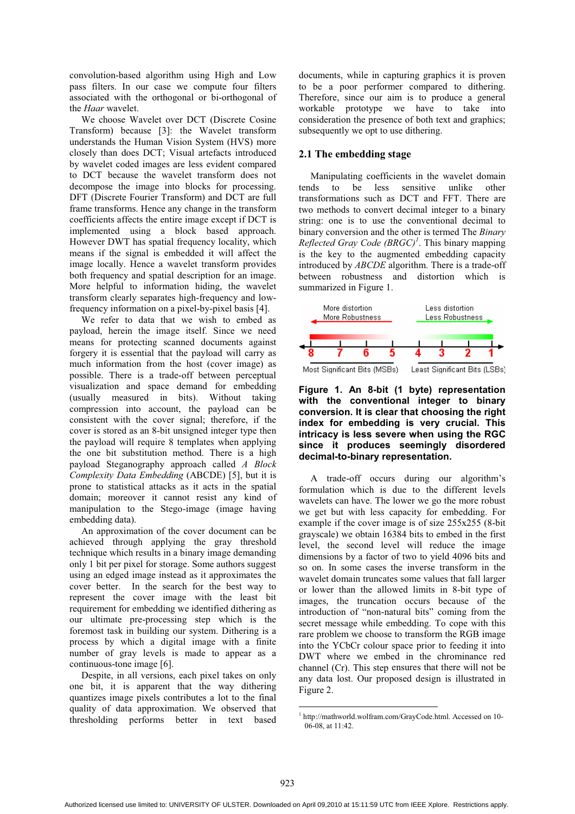convolution-based algorithm using High and Low pass filters. In our case we compute four filters associated with the orthogonal or bi-orthogonal of the *Haar* wavelet.

We choose Wavelet over DCT (Discrete Cosine Transform) because [3]: the Wavelet transform understands the Human Vision System (HVS) more closely than does DCT; Visual artefacts introduced by wavelet coded images are less evident compared to DCT because the wavelet transform does not decompose the image into blocks for processing. DFT (Discrete Fourier Transform) and DCT are full frame transforms. Hence any change in the transform coefficients affects the entire image except if DCT is implemented using a block based approach. However DWT has spatial frequency locality, which means if the signal is embedded it will affect the image locally. Hence a wavelet transform provides both frequency and spatial description for an image. More helpful to information hiding, the wavelet transform clearly separates high-frequency and lowfrequency information on a pixel-by-pixel basis [4].

We refer to data that we wish to embed as payload, herein the image itself. Since we need means for protecting scanned documents against forgery it is essential that the payload will carry as much information from the host (cover image) as possible. There is a trade-off between perceptual visualization and space demand for embedding (usually measured in bits). Without taking compression into account, the payload can be consistent with the cover signal; therefore, if the cover is stored as an 8-bit unsigned integer type then the payload will require 8 templates when applying the one bit substitution method. There is a high payload Steganography approach called *A Block Complexity Data Embedding* (ABCDE) [5], but it is prone to statistical attacks as it acts in the spatial domain; moreover it cannot resist any kind of manipulation to the Stego-image (image having embedding data).

An approximation of the cover document can be achieved through applying the gray threshold technique which results in a binary image demanding only 1 bit per pixel for storage. Some authors suggest using an edged image instead as it approximates the cover better. In the search for the best way to represent the cover image with the least bit requirement for embedding we identified dithering as our ultimate pre-processing step which is the foremost task in building our system. Dithering is a process by which a digital image with a finite number of gray levels is made to appear as a continuous-tone image [6].

Despite, in all versions, each pixel takes on only one bit, it is apparent that the way dithering quantizes image pixels contributes a lot to the final quality of data approximation. We observed that thresholding performs better in text based

documents, while in capturing graphics it is proven to be a poor performer compared to dithering. Therefore, since our aim is to produce a general workable prototype we have to take into consideration the presence of both text and graphics; subsequently we opt to use dithering.

## **2.1 The embedding stage**

Manipulating coefficients in the wavelet domain tends to be less sensitive unlike other transformations such as DCT and FFT. There are two methods to convert decimal integer to a binary string: one is to use the conventional decimal to binary conversion and the other is termed The *Binary Reflected Gray Code (BRGC)<sup>1</sup>* . This binary mapping is the key to the augmented embedding capacity introduced by *ABCDE* algorithm. There is a trade-off between robustness and distortion which is summarized in Figure 1.



**Figure 1. An 8-bit (1 byte) representation with the conventional integer to binary conversion. It is clear that choosing the right index for embedding is very crucial. This intricacy is less severe when using the RGC since it produces seemingly disordered decimal-to-binary representation.** 

A trade-off occurs during our algorithm's formulation which is due to the different levels wavelets can have. The lower we go the more robust we get but with less capacity for embedding. For example if the cover image is of size 255x255 (8-bit grayscale) we obtain 16384 bits to embed in the first level, the second level will reduce the image dimensions by a factor of two to yield 4096 bits and so on. In some cases the inverse transform in the wavelet domain truncates some values that fall larger or lower than the allowed limits in 8-bit type of images, the truncation occurs because of the introduction of "non-natural bits" coming from the secret message while embedding. To cope with this rare problem we choose to transform the RGB image into the YCbCr colour space prior to feeding it into DWT where we embed in the chrominance red channel (Cr). This step ensures that there will not be any data lost. Our proposed design is illustrated in Figure 2.

<sup>-</sup>1 http://mathworld.wolfram.com/GrayCode.html. Accessed on 10- 06-08, at 11:42.